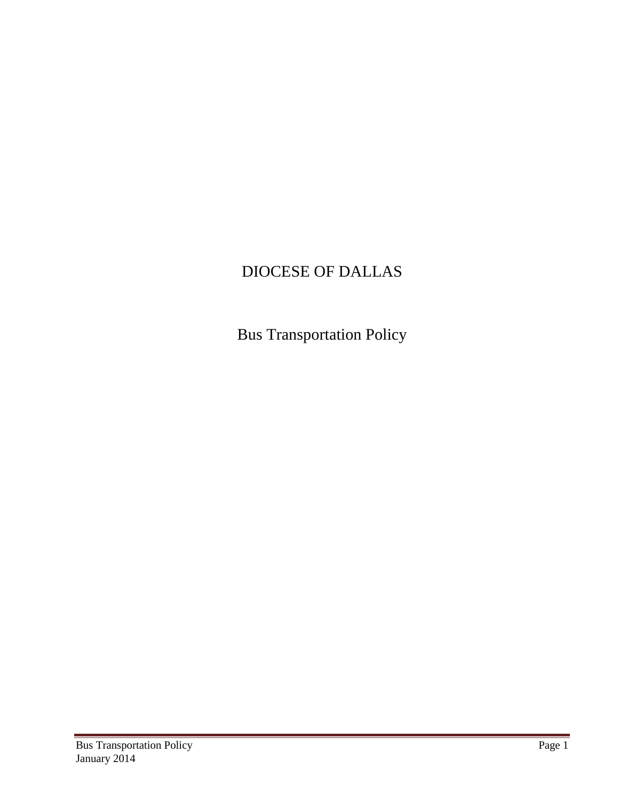# DIOCESE OF DALLAS

Bus Transportation Policy

an<br>Ma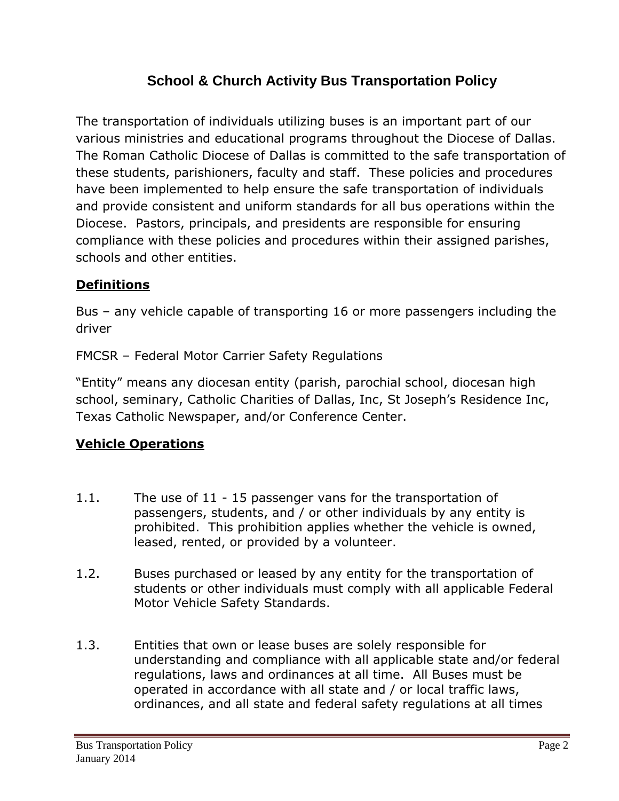# **School & Church Activity Bus Transportation Policy**

The transportation of individuals utilizing buses is an important part of our various ministries and educational programs throughout the Diocese of Dallas. The Roman Catholic Diocese of Dallas is committed to the safe transportation of these students, parishioners, faculty and staff. These policies and procedures have been implemented to help ensure the safe transportation of individuals and provide consistent and uniform standards for all bus operations within the Diocese. Pastors, principals, and presidents are responsible for ensuring compliance with these policies and procedures within their assigned parishes, schools and other entities.

## **Definitions**

Bus – any vehicle capable of transporting 16 or more passengers including the driver

FMCSR – Federal Motor Carrier Safety Regulations

"Entity" means any diocesan entity (parish, parochial school, diocesan high school, seminary, Catholic Charities of Dallas, Inc, St Joseph's Residence Inc, Texas Catholic Newspaper, and/or Conference Center.

#### **Vehicle Operations**

- 1.1. The use of 11 15 passenger vans for the transportation of passengers, students, and / or other individuals by any entity is prohibited. This prohibition applies whether the vehicle is owned, leased, rented, or provided by a volunteer.
- 1.2. Buses purchased or leased by any entity for the transportation of students or other individuals must comply with all applicable Federal Motor Vehicle Safety Standards.
- 1.3. Entities that own or lease buses are solely responsible for understanding and compliance with all applicable state and/or federal regulations, laws and ordinances at all time. All Buses must be operated in accordance with all state and / or local traffic laws, ordinances, and all state and federal safety regulations at all times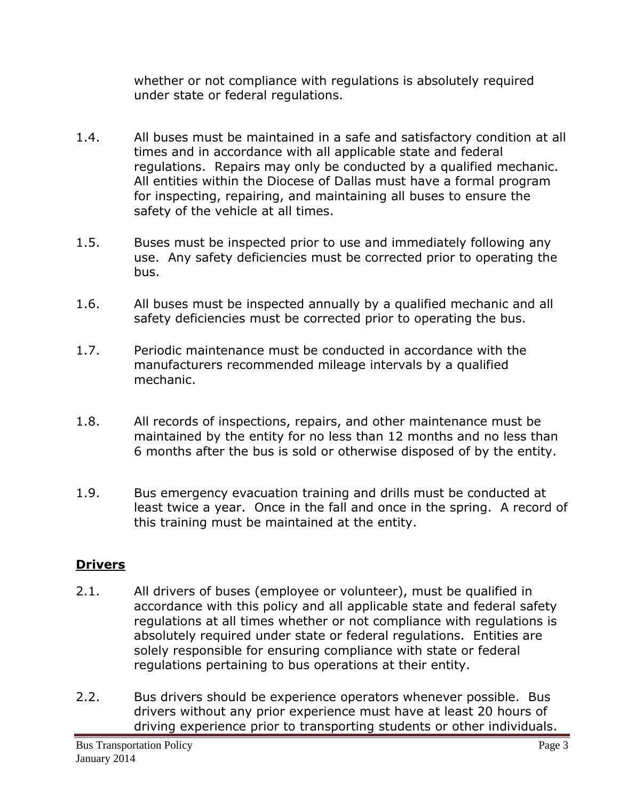whether or not compliance with regulations is absolutely required under state or federal regulations.

- 1.4. All buses must be maintained in a safe and satisfactory condition at all times and in accordance with all applicable state and federal regulations. Repairs may only be conducted by a qualified mechanic. All entities within the Diocese of Dallas must have a formal program for inspecting, repairing, and maintaining all buses to ensure the safety of the vehicle at all times.
- 1.5. Buses must be inspected prior to use and immediately following any use. Any safety deficiencies must be corrected prior to operating the bus.
- 1.6. All buses must be inspected annually by a qualified mechanic and all safety deficiencies must be corrected prior to operating the bus.
- 1.7. Periodic maintenance must be conducted in accordance with the manufacturers recommended mileage intervals by a qualified mechanic.
- 1.8. All records of inspections, repairs, and other maintenance must be maintained by the entity for no less than 12 months and no less than 6 months after the bus is sold or otherwise disposed of by the entity.
- 1.9. Bus emergency evacuation training and drills must be conducted at least twice a year. Once in the fall and once in the spring. A record of this training must be maintained at the entity.

#### **Drivers**

- 2.1. All drivers of buses (employee or volunteer), must be qualified in accordance with this policy and all applicable state and federal safety regulations at all times whether or not compliance with regulations is absolutely required under state or federal regulations. Entities are solely responsible for ensuring compliance with state or federal regulations pertaining to bus operations at their entity.
- 2.2. Bus drivers should be experience operators whenever possible. Bus drivers without any prior experience must have at least 20 hours of driving experience prior to transporting students or other individuals.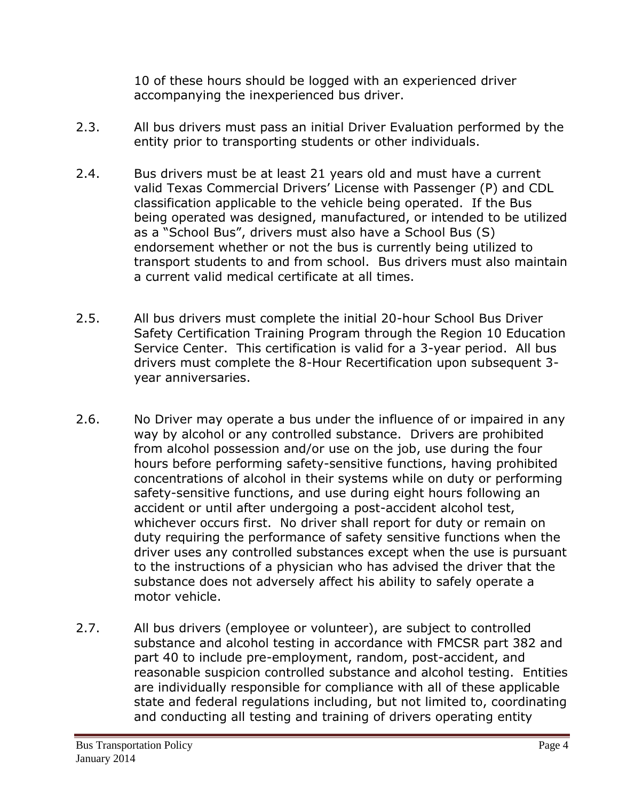10 of these hours should be logged with an experienced driver accompanying the inexperienced bus driver.

- 2.3. All bus drivers must pass an initial Driver Evaluation performed by the entity prior to transporting students or other individuals.
- 2.4. Bus drivers must be at least 21 years old and must have a current valid Texas Commercial Drivers' License with Passenger (P) and CDL classification applicable to the vehicle being operated. If the Bus being operated was designed, manufactured, or intended to be utilized as a "School Bus", drivers must also have a School Bus (S) endorsement whether or not the bus is currently being utilized to transport students to and from school. Bus drivers must also maintain a current valid medical certificate at all times.
- 2.5. All bus drivers must complete the initial 20-hour School Bus Driver Safety Certification Training Program through the Region 10 Education Service Center. This certification is valid for a 3-year period. All bus drivers must complete the 8-Hour Recertification upon subsequent 3 year anniversaries.
- 2.6. No Driver may operate a bus under the influence of or impaired in any way by alcohol or any controlled substance. Drivers are prohibited from alcohol possession and/or use on the job, use during the four hours before performing safety-sensitive functions, having prohibited concentrations of alcohol in their systems while on duty or performing safety-sensitive functions, and use during eight hours following an accident or until after undergoing a post-accident alcohol test, whichever occurs first. No driver shall report for duty or remain on duty requiring the performance of safety sensitive functions when the driver uses any controlled substances except when the use is pursuant to the instructions of a physician who has advised the driver that the substance does not adversely affect his ability to safely operate a motor vehicle.
- 2.7. All bus drivers (employee or volunteer), are subject to controlled substance and alcohol testing in accordance with FMCSR part 382 and part 40 to include pre-employment, random, post-accident, and reasonable suspicion controlled substance and alcohol testing. Entities are individually responsible for compliance with all of these applicable state and federal regulations including, but not limited to, coordinating and conducting all testing and training of drivers operating entity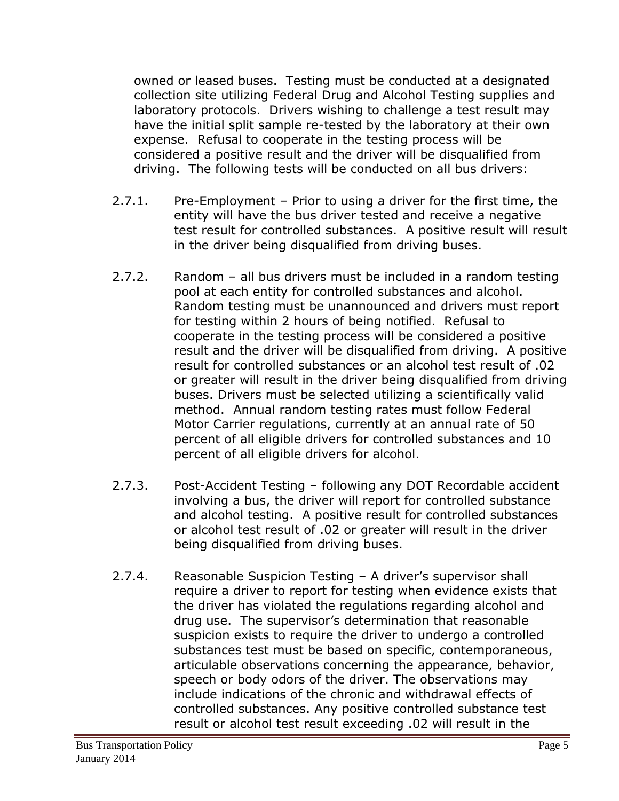owned or leased buses. Testing must be conducted at a designated collection site utilizing Federal Drug and Alcohol Testing supplies and laboratory protocols. Drivers wishing to challenge a test result may have the initial split sample re-tested by the laboratory at their own expense. Refusal to cooperate in the testing process will be considered a positive result and the driver will be disqualified from driving. The following tests will be conducted on all bus drivers:

- 2.7.1. Pre-Employment Prior to using a driver for the first time, the entity will have the bus driver tested and receive a negative test result for controlled substances. A positive result will result in the driver being disqualified from driving buses.
- 2.7.2. Random all bus drivers must be included in a random testing pool at each entity for controlled substances and alcohol. Random testing must be unannounced and drivers must report for testing within 2 hours of being notified. Refusal to cooperate in the testing process will be considered a positive result and the driver will be disqualified from driving. A positive result for controlled substances or an alcohol test result of .02 or greater will result in the driver being disqualified from driving buses. Drivers must be selected utilizing a scientifically valid method. Annual random testing rates must follow Federal Motor Carrier regulations, currently at an annual rate of 50 percent of all eligible drivers for controlled substances and 10 percent of all eligible drivers for alcohol.
- 2.7.3. Post-Accident Testing following any DOT Recordable accident involving a bus, the driver will report for controlled substance and alcohol testing. A positive result for controlled substances or alcohol test result of .02 or greater will result in the driver being disqualified from driving buses.
- 2.7.4. Reasonable Suspicion Testing A driver's supervisor shall require a driver to report for testing when evidence exists that the driver has violated the regulations regarding alcohol and drug use. The supervisor's determination that reasonable suspicion exists to require the driver to undergo a controlled substances test must be based on specific, contemporaneous, articulable observations concerning the appearance, behavior, speech or body odors of the driver. The observations may include indications of the chronic and withdrawal effects of controlled substances. Any positive controlled substance test result or alcohol test result exceeding .02 will result in the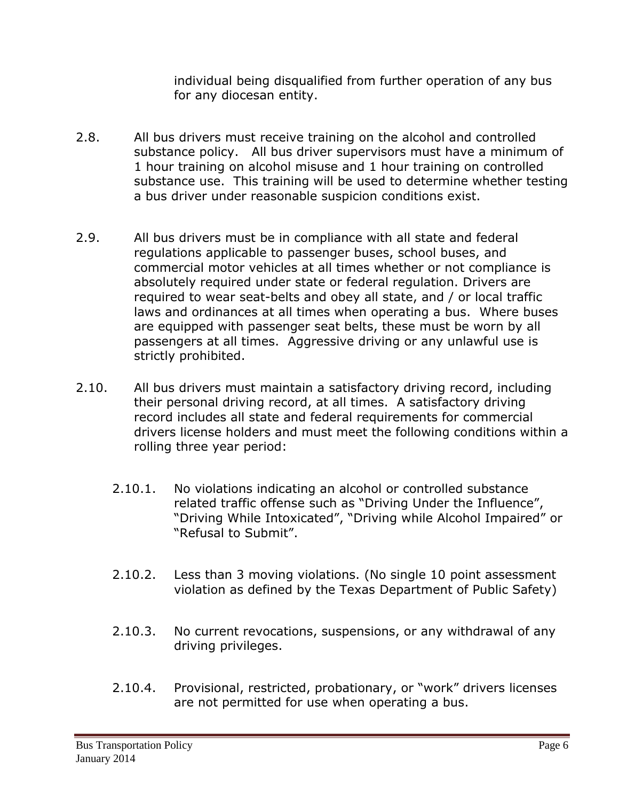individual being disqualified from further operation of any bus for any diocesan entity.

- 2.8. All bus drivers must receive training on the alcohol and controlled substance policy. All bus driver supervisors must have a minimum of 1 hour training on alcohol misuse and 1 hour training on controlled substance use. This training will be used to determine whether testing a bus driver under reasonable suspicion conditions exist.
- 2.9. All bus drivers must be in compliance with all state and federal regulations applicable to passenger buses, school buses, and commercial motor vehicles at all times whether or not compliance is absolutely required under state or federal regulation. Drivers are required to wear seat-belts and obey all state, and / or local traffic laws and ordinances at all times when operating a bus. Where buses are equipped with passenger seat belts, these must be worn by all passengers at all times. Aggressive driving or any unlawful use is strictly prohibited.
- 2.10. All bus drivers must maintain a satisfactory driving record, including their personal driving record, at all times. A satisfactory driving record includes all state and federal requirements for commercial drivers license holders and must meet the following conditions within a rolling three year period:
	- 2.10.1. No violations indicating an alcohol or controlled substance related traffic offense such as "Driving Under the Influence", "Driving While Intoxicated", "Driving while Alcohol Impaired" or "Refusal to Submit".
	- 2.10.2. Less than 3 moving violations. (No single 10 point assessment violation as defined by the Texas Department of Public Safety)
	- 2.10.3. No current revocations, suspensions, or any withdrawal of any driving privileges.
	- 2.10.4. Provisional, restricted, probationary, or "work" drivers licenses are not permitted for use when operating a bus.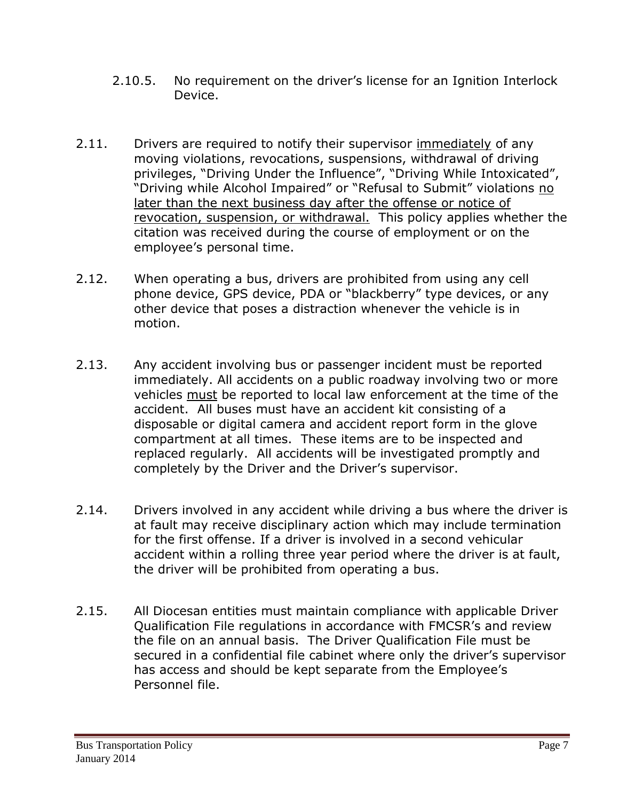- 2.10.5. No requirement on the driver's license for an Ignition Interlock Device.
- 2.11. Drivers are required to notify their supervisor immediately of any moving violations, revocations, suspensions, withdrawal of driving privileges, "Driving Under the Influence", "Driving While Intoxicated", "Driving while Alcohol Impaired" or "Refusal to Submit" violations no later than the next business day after the offense or notice of revocation, suspension, or withdrawal. This policy applies whether the citation was received during the course of employment or on the employee's personal time.
- 2.12. When operating a bus, drivers are prohibited from using any cell phone device, GPS device, PDA or "blackberry" type devices, or any other device that poses a distraction whenever the vehicle is in motion.
- 2.13. Any accident involving bus or passenger incident must be reported immediately. All accidents on a public roadway involving two or more vehicles must be reported to local law enforcement at the time of the accident. All buses must have an accident kit consisting of a disposable or digital camera and accident report form in the glove compartment at all times. These items are to be inspected and replaced regularly. All accidents will be investigated promptly and completely by the Driver and the Driver's supervisor.
- 2.14. Drivers involved in any accident while driving a bus where the driver is at fault may receive disciplinary action which may include termination for the first offense. If a driver is involved in a second vehicular accident within a rolling three year period where the driver is at fault, the driver will be prohibited from operating a bus.
- 2.15. All Diocesan entities must maintain compliance with applicable Driver Qualification File regulations in accordance with FMCSR's and review the file on an annual basis. The Driver Qualification File must be secured in a confidential file cabinet where only the driver's supervisor has access and should be kept separate from the Employee's Personnel file.